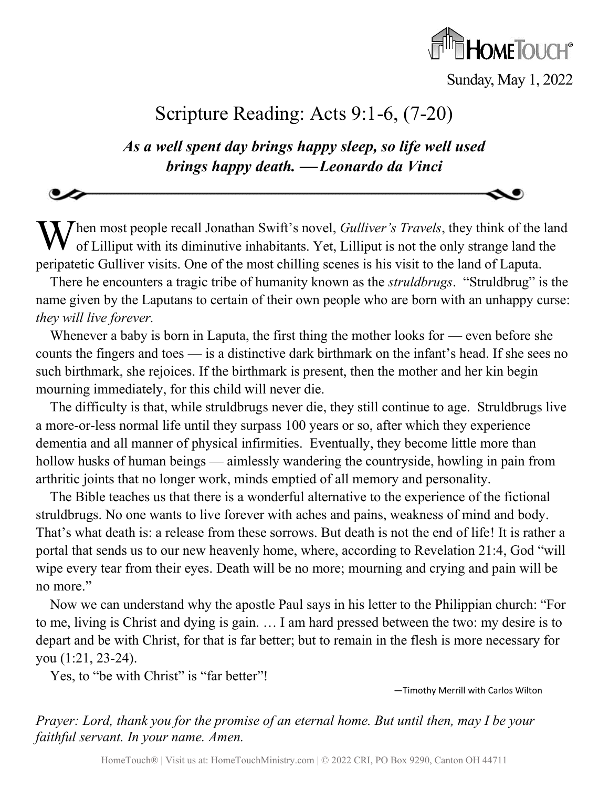

Sunday, May 1, 2022

## Scripture Reading: Acts 9:1-6, (7-20)

*As a well spent day brings happy sleep, so life well used brings happy death.* <sup>⎯</sup> *Leonardo da Vinci*

When most people recall Jonathan Swift's novel, *Gulliver's Travels*, they think of the land of Lilliput with its diminutive inhabitants. Yet, Lilliput is not the only strange land the of Lilliput with its diminutive inhabitants. Yet, Lilliput is not the only strange land the peripatetic Gulliver visits. One of the most chilling scenes is his visit to the land of Laputa.

There he encounters a tragic tribe of humanity known as the *struldbrugs*. "Struldbrug" is the name given by the Laputans to certain of their own people who are born with an unhappy curse: *they will live forever.*

Whenever a baby is born in Laputa, the first thing the mother looks for — even before she counts the fingers and toes — is a distinctive dark birthmark on the infant's head. If she sees no such birthmark, she rejoices. If the birthmark is present, then the mother and her kin begin mourning immediately, for this child will never die.

The difficulty is that, while struldbrugs never die, they still continue to age. Struldbrugs live a more-or-less normal life until they surpass 100 years or so, after which they experience dementia and all manner of physical infirmities. Eventually, they become little more than hollow husks of human beings — aimlessly wandering the countryside, howling in pain from arthritic joints that no longer work, minds emptied of all memory and personality.

The Bible teaches us that there is a wonderful alternative to the experience of the fictional struldbrugs. No one wants to live forever with aches and pains, weakness of mind and body. That's what death is: a release from these sorrows. But death is not the end of life! It is rather a portal that sends us to our new heavenly home, where, according to Revelation 21:4, God "will wipe every tear from their eyes. Death will be no more; mourning and crying and pain will be no more."

Now we can understand why the apostle Paul says in his letter to the Philippian church: "For to me, living is Christ and dying is gain. … I am hard pressed between the two: my desire is to depart and be with Christ, for that is far better; but to remain in the flesh is more necessary for you (1:21, 23-24).

Yes, to "be with Christ" is "far better"!

—Timothy Merrill with Carlos Wilton

*Prayer: Lord, thank you for the promise of an eternal home. But until then, may I be your faithful servant. In your name. Amen.*